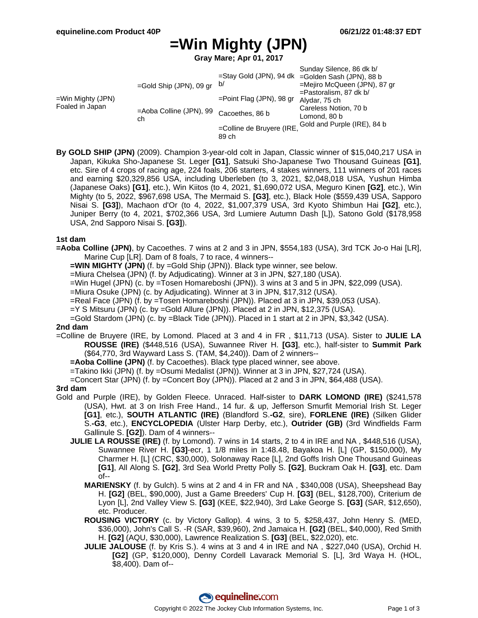# **=Win Mighty (JPN)**

**Gray Mare; Apr 01, 2017**

| =Win Mighty (JPN)<br>Foaled in Japan | =Gold Ship (JPN), 09 gr       | b/                                 | Sunday Silence, 86 dk b/<br>=Stay Gold (JPN), 94 dk =Golden Sash (JPN), 88 b<br>=Mejiro McQueen (JPN), 87 gr<br>$=$ Pastoralism, 87 dk b/<br>Alydar, 75 ch |
|--------------------------------------|-------------------------------|------------------------------------|------------------------------------------------------------------------------------------------------------------------------------------------------------|
|                                      |                               | $=$ Point Flag (JPN), 98 gr        |                                                                                                                                                            |
|                                      | =Aoba Colline (JPN), 99<br>ch | Cacoethes, 86 b                    | Careless Notion, 70 b<br>Lomond, 80 b                                                                                                                      |
|                                      |                               | =Colline de Bruyere (IRE,<br>89 ch | Gold and Purple (IRE), 84 b                                                                                                                                |

**By GOLD SHIP (JPN)** (2009). Champion 3-year-old colt in Japan, Classic winner of \$15,040,217 USA in Japan, Kikuka Sho-Japanese St. Leger **[G1]**, Satsuki Sho-Japanese Two Thousand Guineas **[G1]**, etc. Sire of 4 crops of racing age, 224 foals, 206 starters, 4 stakes winners, 111 winners of 201 races and earning \$20,329,856 USA, including Uberleben (to 3, 2021, \$2,048,018 USA, Yushun Himba (Japanese Oaks) **[G1]**, etc.), Win Kiitos (to 4, 2021, \$1,690,072 USA, Meguro Kinen **[G2]**, etc.), Win Mighty (to 5, 2022, \$967,698 USA, The Mermaid S. **[G3]**, etc.), Black Hole (\$559,439 USA, Sapporo Nisai S. **[G3]**), Machaon d'Or (to 4, 2022, \$1,007,379 USA, 3rd Kyoto Shimbun Hai **[G2]**, etc.), Juniper Berry (to 4, 2021, \$702,366 USA, 3rd Lumiere Autumn Dash [L]), Satono Gold (\$178,958 USA, 2nd Sapporo Nisai S. **[G3]**).

#### **1st dam**

**=Aoba Colline (JPN)**, by Cacoethes. 7 wins at 2 and 3 in JPN, \$554,183 (USA), 3rd TCK Jo-o Hai [LR], Marine Cup [LR]. Dam of 8 foals, 7 to race, 4 winners--

**=WIN MIGHTY (JPN)** (f. by =Gold Ship (JPN)). Black type winner, see below.

=Miura Chelsea (JPN) (f. by Adjudicating). Winner at 3 in JPN, \$27,180 (USA).

=Win Hugel (JPN) (c. by =Tosen Homareboshi (JPN)). 3 wins at 3 and 5 in JPN, \$22,099 (USA).

=Miura Osuke (JPN) (c. by Adjudicating). Winner at 3 in JPN, \$17,312 (USA).

- =Real Face (JPN) (f. by =Tosen Homareboshi (JPN)). Placed at 3 in JPN, \$39,053 (USA).
- =Y S Mitsuru (JPN) (c. by =Gold Allure (JPN)). Placed at 2 in JPN, \$12,375 (USA).
- =Gold Stardom (JPN) (c. by =Black Tide (JPN)). Placed in 1 start at 2 in JPN, \$3,342 (USA).

#### **2nd dam**

=Colline de Bruyere (IRE, by Lomond. Placed at 3 and 4 in FR , \$11,713 (USA). Sister to **JULIE LA ROUSSE (IRE)** (\$448,516 (USA), Suwannee River H. **[G3]**, etc.), half-sister to **Summit Park** (\$64,770, 3rd Wayward Lass S. (TAM, \$4,240)). Dam of 2 winners--

**=Aoba Colline (JPN)** (f. by Cacoethes). Black type placed winner, see above.

=Takino Ikki (JPN) (f. by =Osumi Medalist (JPN)). Winner at 3 in JPN, \$27,724 (USA).

=Concert Star (JPN) (f. by =Concert Boy (JPN)). Placed at 2 and 3 in JPN, \$64,488 (USA).

#### **3rd dam**

- Gold and Purple (IRE), by Golden Fleece. Unraced. Half-sister to **DARK LOMOND (IRE)** (\$241,578 (USA), Hwt. at 3 on Irish Free Hand., 14 fur. & up, Jefferson Smurfit Memorial Irish St. Leger **[G1]**, etc.), **SOUTH ATLANTIC (IRE)** (Blandford S.**-G2**, sire), **FORLENE (IRE)** (Silken Glider S.**-G3**, etc.), **ENCYCLOPEDIA** (Ulster Harp Derby, etc.), **Outrider (GB)** (3rd Windfields Farm Gallinule S. **[G2]**). Dam of 4 winners--
	- **JULIE LA ROUSSE (IRE)** (f. by Lomond). 7 wins in 14 starts, 2 to 4 in IRE and NA , \$448,516 (USA), Suwannee River H. **[G3]**-ecr, 1 1/8 miles in 1:48.48, Bayakoa H. [L] (GP, \$150,000), My Charmer H. [L] (CRC, \$30,000), Solonaway Race [L], 2nd Goffs Irish One Thousand Guineas **[G1]**, All Along S. **[G2]**, 3rd Sea World Pretty Polly S. **[G2]**, Buckram Oak H. **[G3]**, etc. Dam of--
		- **MARIENSKY** (f. by Gulch). 5 wins at 2 and 4 in FR and NA , \$340,008 (USA), Sheepshead Bay H. **[G2]** (BEL, \$90,000), Just a Game Breeders' Cup H. **[G3]** (BEL, \$128,700), Criterium de Lyon [L], 2nd Valley View S. **[G3]** (KEE, \$22,940), 3rd Lake George S. **[G3]** (SAR, \$12,650), etc. Producer.
		- **ROUSING VICTORY** (c. by Victory Gallop). 4 wins, 3 to 5, \$258,437, John Henry S. (MED, \$36,000), John's Call S. -R (SAR, \$39,960), 2nd Jamaica H. **[G2]** (BEL, \$40,000), Red Smith H. **[G2]** (AQU, \$30,000), Lawrence Realization S. **[G3]** (BEL, \$22,020), etc.
		- **JULIE JALOUSE** (f. by Kris S.). 4 wins at 3 and 4 in IRE and NA , \$227,040 (USA), Orchid H. **[G2]** (GP, \$120,000), Denny Cordell Lavarack Memorial S. [L], 3rd Waya H. (HOL, \$8,400). Dam of--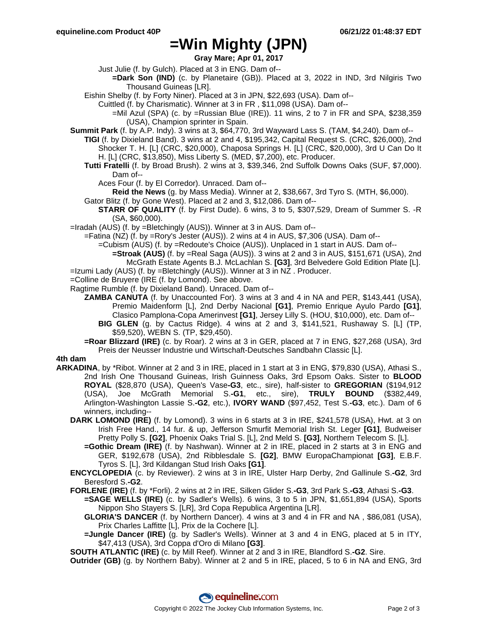### **=Win Mighty (JPN)**

**Gray Mare; Apr 01, 2017**

- Just Julie (f. by Gulch). Placed at 3 in ENG. Dam of--
	- **=Dark Son (IND)** (c. by Planetaire (GB)). Placed at 3, 2022 in IND, 3rd Nilgiris Two Thousand Guineas [LR].
- Eishin Shelby (f. by Forty Niner). Placed at 3 in JPN, \$22,693 (USA). Dam of--
	- Cuittled (f. by Charismatic). Winner at 3 in FR , \$11,098 (USA). Dam of--
		- $=$ Mil Azul (SPA) (c. by  $=$ Russian Blue (IRE)). 11 wins, 2 to 7 in FR and SPA, \$238,359 (USA), Champion sprinter in Spain.
- **Summit Park** (f. by A.P. Indy). 3 wins at 3, \$64,770, 3rd Wayward Lass S. (TAM, \$4,240). Dam of--
	- **TIGI** (f. by Dixieland Band). 3 wins at 2 and 4, \$195,342, Capital Request S. (CRC, \$26,000), 2nd Shocker T. H. [L] (CRC, \$20,000), Chaposa Springs H. [L] (CRC, \$20,000), 3rd U Can Do It H. [L] (CRC, \$13,850), Miss Liberty S. (MED, \$7,200), etc. Producer.
		- **Tutti Fratelli** (f. by Broad Brush). 2 wins at 3, \$39,346, 2nd Suffolk Downs Oaks (SUF, \$7,000). Dam of--
			- Aces Four (f. by El Corredor). Unraced. Dam of--
			- **Reid the News** (g. by Mass Media). Winner at 2, \$38,667, 3rd Tyro S. (MTH, \$6,000).
		- Gator Blitz (f. by Gone West). Placed at 2 and 3, \$12,086. Dam of--
			- **STARR OF QUALITY** (f. by First Dude). 6 wins, 3 to 5, \$307,529, Dream of Summer S. -R (SA, \$60,000).
- =Iradah (AUS) (f. by =Bletchingly (AUS)). Winner at 3 in AUS. Dam of--
	- =Fatina (NZ) (f. by =Rory's Jester (AUS)). 2 wins at 4 in AUS, \$7,306 (USA). Dam of--

=Cubism (AUS) (f. by =Redoute's Choice (AUS)). Unplaced in 1 start in AUS. Dam of--

**=Stroak (AUS)** (f. by =Real Saga (AUS)). 3 wins at 2 and 3 in AUS, \$151,671 (USA), 2nd

McGrath Estate Agents B.J. McLachlan S. **[G3]**, 3rd Belvedere Gold Edition Plate [L]. =Izumi Lady (AUS) (f. by =Bletchingly (AUS)). Winner at 3 in NZ . Producer.

- =Colline de Bruyere (IRE (f. by Lomond). See above.
- Ragtime Rumble (f. by Dixieland Band). Unraced. Dam of--
	- **ZAMBA CANUTA** (f. by Unaccounted For). 3 wins at 3 and 4 in NA and PER, \$143,441 (USA), Premio Maidenform [L], 2nd Derby Nacional **[G1]**, Premio Enrique Ayulo Pardo **[G1]**, Clasico Pamplona-Copa Amerinvest **[G1]**, Jersey Lilly S. (HOU, \$10,000), etc. Dam of--
		- **BIG GLEN** (g. by Cactus Ridge). 4 wins at 2 and 3, \$141,521, Rushaway S. [L] (TP, \$59,520), WEBN S. (TP, \$29,450).
	- **=Roar Blizzard (IRE)** (c. by Roar). 2 wins at 3 in GER, placed at 7 in ENG, \$27,268 (USA), 3rd Preis der Neusser Industrie und Wirtschaft-Deutsches Sandbahn Classic [L].

### **4th dam**

- **ARKADINA**, by \*Ribot. Winner at 2 and 3 in IRE, placed in 1 start at 3 in ENG, \$79,830 (USA), Athasi S., 2nd Irish One Thousand Guineas, Irish Guinness Oaks, 3rd Epsom Oaks. Sister to **BLOOD ROYAL** (\$28,870 (USA), Queen's Vase**-G3**, etc., sire), half-sister to **GREGORIAN** (\$194,912 (USA), Joe McGrath Memorial S.**-G1**, etc., sire), **TRULY BOUND** (\$382,449, Arlington-Washington Lassie S.**-G2**, etc.), **IVORY WAND** (\$97,452, Test S.**-G3**, etc.). Dam of 6 winners, including--
	- **DARK LOMOND (IRE)** (f. by Lomond). 3 wins in 6 starts at 3 in IRE, \$241,578 (USA), Hwt. at 3 on Irish Free Hand., 14 fur. & up, Jefferson Smurfit Memorial Irish St. Leger **[G1]**, Budweiser Pretty Polly S. **[G2]**, Phoenix Oaks Trial S. [L], 2nd Meld S. **[G3]**, Northern Telecom S. [L].
		- **=Gothic Dream (IRE)** (f. by Nashwan). Winner at 2 in IRE, placed in 2 starts at 3 in ENG and GER, \$192,678 (USA), 2nd Ribblesdale S. **[G2]**, BMW EuropaChampionat **[G3]**, E.B.F. Tyros S. [L], 3rd Kildangan Stud Irish Oaks **[G1]**.
	- **ENCYCLOPEDIA** (c. by Reviewer). 2 wins at 3 in IRE, Ulster Harp Derby, 2nd Gallinule S.**-G2**, 3rd Beresford S.**-G2**.
	- **FORLENE (IRE)** (f. by \*Forli). 2 wins at 2 in IRE, Silken Glider S.**-G3**, 3rd Park S.**-G3**, Athasi S.**-G3**.
		- **=SAGE WELLS (IRE)** (c. by Sadler's Wells). 6 wins, 3 to 5 in JPN, \$1,651,894 (USA), Sports Nippon Sho Stayers S. [LR], 3rd Copa Republica Argentina [LR].
		- **GLORIA'S DANCER** (f. by Northern Dancer). 4 wins at 3 and 4 in FR and NA , \$86,081 (USA), Prix Charles Laffitte [L], Prix de la Cochere [L].
		- **=Jungle Dancer (IRE)** (g. by Sadler's Wells). Winner at 3 and 4 in ENG, placed at 5 in ITY, \$47,413 (USA), 3rd Coppa d'Oro di Milano **[G3]**.

**SOUTH ATLANTIC (IRE)** (c. by Mill Reef). Winner at 2 and 3 in IRE, Blandford S.**-G2**. Sire.

**Outrider (GB)** (g. by Northern Baby). Winner at 2 and 5 in IRE, placed, 5 to 6 in NA and ENG, 3rd